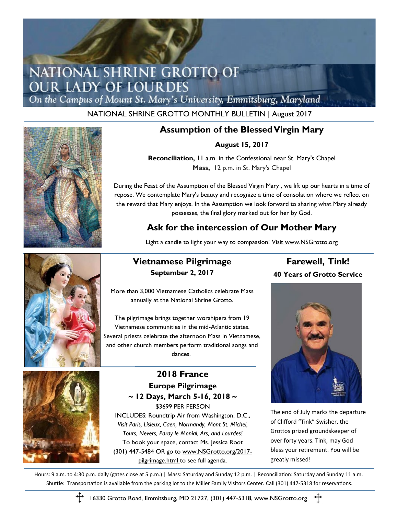## NATIONAL SHRINE GROTTO OF **OUR LADY OF LOURDES**

On the Campus of Mount St. Mary's University, Emmitsburg, Maryland

NATIONAL SHRINE GROTTO MONTHLY BULLETIN | August 2017



### **Assumption of the Blessed Virgin Mary**

**August 15, 2017** 

**Reconciliation,** 11 a.m. in the Confessional near St. Mary's Chapel **Mass,** 12 p.m. in St. Mary's Chapel

During the Feast of the Assumption of the Blessed Virgin Mary , we lift up our hearts in a time of repose. We contemplate Mary's beauty and recognize a time of consolation where we reflect on the reward that Mary enjoys. In the Assumption we look forward to sharing what Mary already possesses, the final glory marked out for her by God.

### **Ask for the intercession of Our Mother Mary**

Light a candle to light your way to compassion! Visit www.NSGrotto.org



### **Vietnamese Pilgrimage September 2, 2017**

More than 3,000 Vietnamese Catholics celebrate Mass annually at the National Shrine Grotto.

The pilgrimage brings together worshipers from 19 Vietnamese communities in the mid-Atlantic states. Several priests celebrate the afternoon Mass in Vietnamese, and other church members perform traditional songs and dances.



**2018 France Europe Pilgrimage ~ 12 Days, March 5-16, 2018 ~** \$3699 PER PERSON INCLUDES: Roundtrip Air from Washington, D.C., *Visit Paris, Lisieux, Caen, Normandy, Mont St. Michel,* 

*Tours, Nevers, Paray le Monial, Ars, and Lourdes!* To book your space, contact Ms. Jessica Root (301) 447-5484 OR go to www.NSGrotto.org/2017 pilgrimage.html to see full agenda.

### **Farewell, Tink! 40 Years of Grotto Service**



The end of July marks the departure of Clifford "Tink" Swisher, the Grottos prized groundskeeper of over forty years. Tink, may God bless your retirement. You will be greatly missed!

Hours: 9 a.m. to 4:30 p.m. daily (gates close at 5 p.m.) | Mass: Saturday and Sunday 12 p.m. | Reconciliation: Saturday and Sunday 11 a.m. Shuttle: Transportation is available from the parking lot to the Miller Family Visitors Center. Call (301) 447-5318 for reservations.



16330 Grotto Road, Emmitsburg, MD 21727, (301) 447-5318, www.NSGrotto.org